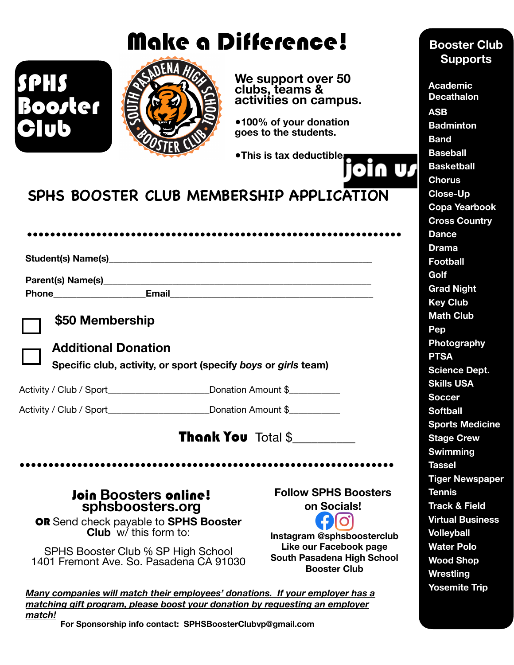# Make a Difference!



**We support over 50 clubs, teams & activities on campus.** 

**●100% of your donation goes to the students.** 

**●This is tax deductible.**

### **SPHS BOOSTER CLUB MEMBERSHIP APPLICATION**

| Phone Email | <u> 1980 - Jan Samuel Barbara, margaret e populazion del control del control del control del control de la provi</u> |  |
|-------------|----------------------------------------------------------------------------------------------------------------------|--|



SPHS

**Club** 

#### **\$50 Membership**



#### **Additional Donation**

**Specific club, activity, or sport (specify** *boys* **or** *girls* **team)**

Activity / Club / Sport\_\_\_\_\_\_\_\_\_\_\_\_\_\_\_\_\_\_\_\_\_\_\_\_Donation Amount \$\_\_\_\_\_\_\_\_\_\_\_

Activity / Club / Sport\_\_\_\_\_\_\_\_\_\_\_\_\_\_\_\_\_\_\_\_\_\_\_\_Donation Amount \$

Thank You Total \$\_\_\_\_\_\_\_\_\_\_

# Join **Boosters** online! **[sphsboosters.org](http://sphsboosters.org)**

**Follow SPHS Boosters on Socials!**

OR Send check payable to **SPHS Booster Club** w/ this form to:

SPHS Booster Club ℅ SP High School 1401 Fremont Ave. So. Pasadena CA 91030

**O Instagram @sphsboosterclub Like our Facebook page South Pasadena High School Booster Club** 

*Many companies will match their employees' donations. If your employer has a matching gift program, please boost your donation by requesting an employer match!*

●●●●●●●●●●●●●●●●●●●●●●●●●●●●●●●●●●●●●●●●●●●●●●●●●●●●●●●●●●●●●●●●●

**For Sponsorship info contact: SPHSBoosterClubvp@gmail.com**

### **Booster Club Supports**

n w

**Academic Decathalon ASB Badminton Band Baseball Basketball Chorus Close-Up Copa Yearbook Cross Country Dance Drama Football Golf Grad Night Key Club Math Club Pep Photography PTSA Science Dept. Skills USA Soccer Softball Sports Medicine Stage Crew Swimming Tassel Tiger Newspaper Tennis Track & Field Virtual Business Volleyball Water Polo Wood Shop Wrestling Yosemite Trip**